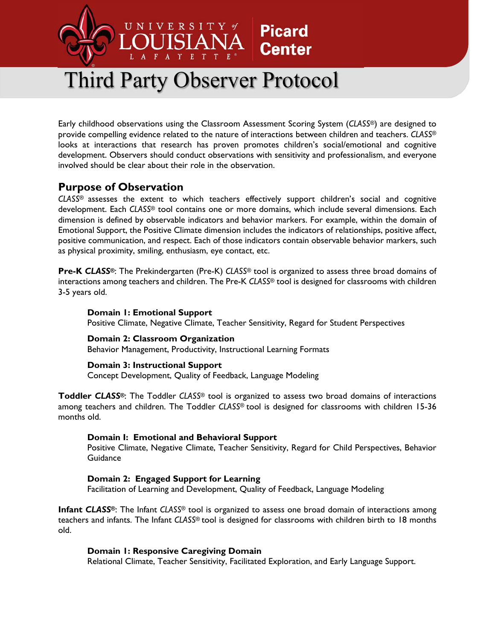

# Third Party Observer Protocol

Early childhood observations using the Classroom Assessment Scoring System (*CLASS®*) are designed to provide compelling evidence related to the nature of interactions between children and teachers. *CLASS®* looks at interactions that research has proven promotes children's social/emotional and cognitive development. Observers should conduct observations with sensitivity and professionalism, and everyone involved should be clear about their role in the observation.

# **Purpose of Observation**

*CLASS®* assesses the extent to which teachers effectively support children's social and cognitive development. Each *CLASS®* tool contains one or more domains, which include several dimensions. Each dimension is defined by observable indicators and behavior markers. For example, within the domain of Emotional Support, the Positive Climate dimension includes the indicators of relationships, positive affect, positive communication, and respect. Each of those indicators contain observable behavior markers, such as physical proximity, smiling, enthusiasm, eye contact, etc.

**Pre-K** *CLASS®*: The Prekindergarten (Pre-K) *CLASS®* tool is organized to assess three broad domains of interactions among teachers and children. The Pre-K *CLASS®* tool is designed for classrooms with children 3-5 years old.

# **Domain 1: Emotional Support**

Positive Climate, Negative Climate, Teacher Sensitivity, Regard for Student Perspectives

# **Domain 2: Classroom Organization**

Behavior Management, Productivity, Instructional Learning Formats

# **Domain 3: Instructional Support**

Concept Development, Quality of Feedback, Language Modeling

**Toddler** *CLASS®*: The Toddler *CLASS®* tool is organized to assess two broad domains of interactions among teachers and children. The Toddler *CLASS®* tool is designed for classrooms with children 15-36 months old.

# **Domain I: Emotional and Behavioral Support**

Positive Climate, Negative Climate, Teacher Sensitivity, Regard for Child Perspectives, Behavior **Guidance** 

# **Domain 2: Engaged Support for Learning**

Facilitation of Learning and Development, Quality of Feedback, Language Modeling

**Infant** *CLASS®*: The Infant *CLASS®* tool is organized to assess one broad domain of interactions among teachers and infants. The Infant *CLASS®* tool is designed for classrooms with children birth to 18 months old.

#### **Domain 1: Responsive Caregiving Domain**

Relational Climate, Teacher Sensitivity, Facilitated Exploration, and Early Language Support.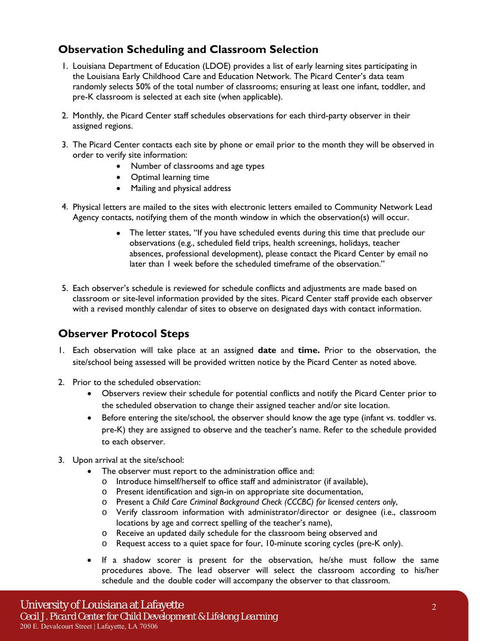# **Observation Scheduling and Classroom Selection**

- 1. Louisiana Department of Education (LDOE) provides a list of early learning sites participating in the Louisiana Early Childhood Care and Education Network. The Picard Center's data team randomly selects 50% of the total number of classrooms; ensuring at least one infant, toddler, and pre-K classroom is selected at each site (when applicable).
- 2. Monthly, the Picard Center staff schedules observations for each third-party observer in their assigned regions.
- 3. The Picard Center contacts each site by phone or email prior to the month they will be observed in order to verify site information:
	- Number of classrooms and age types
	- Optimal learning time
	- Mailing and physical address
- 4. Physical letters are mailed to the sites with electronic letters emailed to Community Network Lead Agency contacts, notifying them of the month window in which the observation(s) will occur.
	- The letter states, "If you have scheduled events during this time that preclude our observations (e.g., scheduled field trips, health screenings, holidays, teacher absences, professional development), please contact the Picard Center by email no later than 1 week before the scheduled timeframe of the observation."
- 5. Each observer's schedule is reviewed for schedule conflicts and adjustments are made based on classroom or site-level information provided by the sites. Picard Center staff provide each observer with a revised monthly calendar of sites to observe on designated days with contact information.

# **Observer Protocol Steps**

- 1. Each observation will take place at an assigned **date** and **time.** Prior to the observation, the site/school being assessed will be provided written notice by the Picard Center as noted above.
- 2. Prior to the scheduled observation:
	- Observers review their schedule for potential conflicts and notify the Picard Center prior to the scheduled observation to change their assigned teacher and/or site location.
	- Before entering the site/school, the observer should know the age type (infant vs. toddler vs. pre-K) they are assigned to observe and the teacher's name. Refer to the schedule provided to each observer.
- 3. Upon arrival at the site/school:
	- The observer must report to the administration office and:
		- o Introduce himself/herself to office staff and administrator (if available),
		- o Present identification and sign-in on appropriate site documentation,
		- o Present a *Child Care Criminal Background Check (CCCBC) for licensed centers only*,
		- o Verify classroom information with administrator/director or designee (i.e., classroom locations by age and correct spelling of the teacher's name),
		- o Receive an updated daily schedule for the classroom being observed and
		- o Request access to a quiet space for four, 10-minute scoring cycles (pre-K only).
	- If a shadow scorer is present for the observation, he/she must follow the same procedures above. The lead observer will select the classroom according to his/her schedule and the double coder will accompany the observer to that classroom.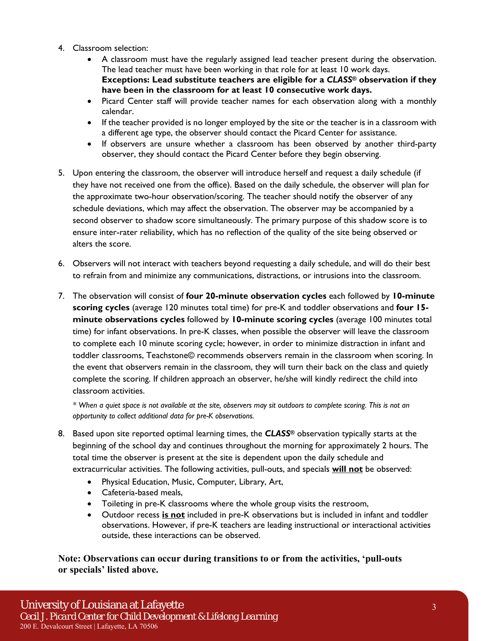- 4. Classroom selection:
	- A classroom must have the regularly assigned lead teacher present during the observation. The lead teacher must have been working in that role for at least 10 work days. **Exceptions: Lead substitute teachers are eligible for a** *CLASS®* **observation if they have been in the classroom for at least 10 consecutive work days.**
	- Picard Center staff will provide teacher names for each observation along with a monthly calendar.
	- If the teacher provided is no longer employed by the site or the teacher is in a classroom with a different age type, the observer should contact the Picard Center for assistance.
	- If observers are unsure whether a classroom has been observed by another third-party observer, they should contact the Picard Center before they begin observing.
- 5. Upon entering the classroom, the observer will introduce herself and request a daily schedule (if they have not received one from the office). Based on the daily schedule, the observer will plan for the approximate two-hour observation/scoring. The teacher should notify the observer of any schedule deviations, which may affect the observation. The observer may be accompanied by a second observer to shadow score simultaneously. The primary purpose of this shadow score is to ensure inter-rater reliability, which has no reflection of the quality of the site being observed or alters the score.
- 6. Observers will not interact with teachers beyond requesting a daily schedule, and will do their best to refrain from and minimize any communications, distractions, or intrusions into the classroom.
- 7. The observation will consist of **four 20-minute observation cycles** each followed by **10-minute scoring cycles** (average 120 minutes total time) for pre-K and toddler observations and **four 15 minute observations cycles** followed by **10-minute scoring cycles** (average 100 minutes total time) for infant observations. In pre-K classes, when possible the observer will leave the classroom to complete each 10 minute scoring cycle; however, in order to minimize distraction in infant and toddler classrooms, Teachstone© recommends observers remain in the classroom when scoring. In the event that observers remain in the classroom, they will turn their back on the class and quietly complete the scoring. If children approach an observer, he/she will kindly redirect the child into classroom activities.

*\* When a quiet space is not available at the site, observers may sit outdoors to complete scoring. This is not an opportunity to collect additional data for pre-K observations.*

- 8. Based upon site reported optimal learning times, the *CLASS®* observation typically starts at the beginning of the school day and continues throughout the morning for approximately 2 hours. The total time the observer is present at the site is dependent upon the daily schedule and extracurricular activities. The following activities, pull-outs, and specials **will not** be observed:
	- Physical Education, Music, Computer, Library, Art,
	- Cafeteria-based meals,
	- Toileting in pre-K classrooms where the whole group visits the restroom,
	- Outdoor recess **is not** included in pre-K observations but is included in infant and toddler observations. However, if pre-K teachers are leading instructional or interactional activities outside, these interactions can be observed.

**Note: Observations can occur during transitions to or from the activities, 'pull-outs or specials' listed above.**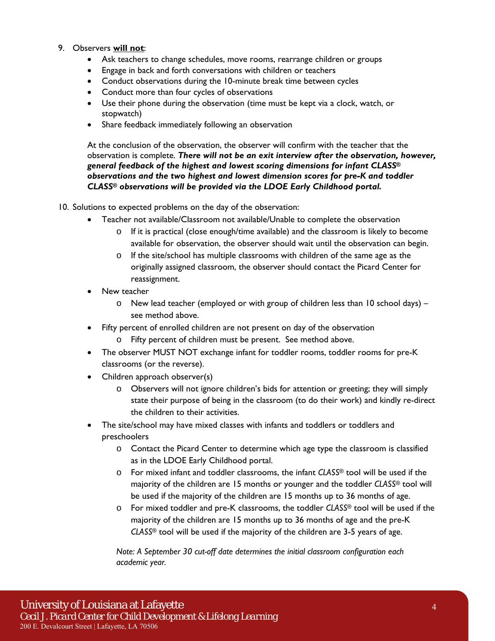#### 9. Observers **will not**:

- Ask teachers to change schedules, move rooms, rearrange children or groups
- Engage in back and forth conversations with children or teachers
- Conduct observations during the 10-minute break time between cycles
- Conduct more than four cycles of observations
- Use their phone during the observation (time must be kept via a clock, watch, or stopwatch)
- Share feedback immediately following an observation

At the conclusion of the observation, the observer will confirm with the teacher that the observation is complete. *There will not be an exit interview after the observation, however, general feedback of the highest and lowest scoring dimensions for infant CLASS® observations and the two highest and lowest dimension scores for pre-K and toddler CLASS® observations will be provided via the LDOE Early Childhood portal.*

10. Solutions to expected problems on the day of the observation:

- Teacher not available/Classroom not available/Unable to complete the observation
	- o If it is practical (close enough/time available) and the classroom is likely to become available for observation, the observer should wait until the observation can begin.
	- o If the site/school has multiple classrooms with children of the same age as the originally assigned classroom, the observer should contact the Picard Center for reassignment.
- New teacher
	- $\circ$  New lead teacher (employed or with group of children less than 10 school days) see method above.
- Fifty percent of enrolled children are not present on day of the observation
	- o Fifty percent of children must be present. See method above.
- The observer MUST NOT exchange infant for toddler rooms, toddler rooms for pre-K classrooms (or the reverse).
- Children approach observer(s)
	- o Observers will not ignore children's bids for attention or greeting; they will simply state their purpose of being in the classroom (to do their work) and kindly re-direct the children to their activities.
- The site/school may have mixed classes with infants and toddlers or toddlers and preschoolers
	- o Contact the Picard Center to determine which age type the classroom is classified as in the LDOE Early Childhood portal.
	- o For mixed infant and toddler classrooms, the infant *CLASS®* tool will be used if the majority of the children are 15 months or younger and the toddler *CLASS®* tool will be used if the majority of the children are 15 months up to 36 months of age.
	- o For mixed toddler and pre-K classrooms, the toddler *CLASS®* tool will be used if the majority of the children are 15 months up to 36 months of age and the pre-K *CLASS®* tool will be used if the majority of the children are 3-5 years of age.

*Note: A September 30 cut-off date determines the initial classroom configuration each academic year.*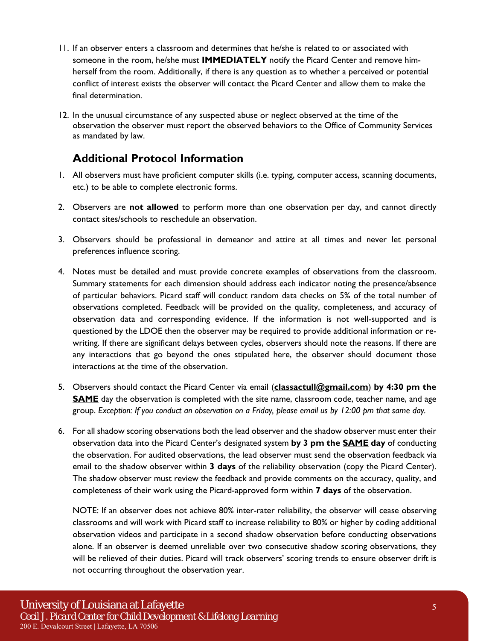- 11. If an observer enters a classroom and determines that he/she is related to or associated with someone in the room, he/she must **IMMEDIATELY** notify the Picard Center and remove himherself from the room. Additionally, if there is any question as to whether a perceived or potential conflict of interest exists the observer will contact the Picard Center and allow them to make the final determination.
- 12. In the unusual circumstance of any suspected abuse or neglect observed at the time of the observation the observer must report the observed behaviors to the Office of Community Services as mandated by law.

# **Additional Protocol Information**

- 1. All observers must have proficient computer skills (i.e. typing, computer access, scanning documents, etc.) to be able to complete electronic forms.
- 2. Observers are **not allowed** to perform more than one observation per day, and cannot directly contact sites/schools to reschedule an observation.
- 3. Observers should be professional in demeanor and attire at all times and never let personal preferences influence scoring.
- 4. Notes must be detailed and must provide concrete examples of observations from the classroom. Summary statements for each dimension should address each indicator noting the presence/absence of particular behaviors. Picard staff will conduct random data checks on 5% of the total number of observations completed. Feedback will be provided on the quality, completeness, and accuracy of observation data and corresponding evidence. If the information is not well-supported and is questioned by the LDOE then the observer may be required to provide additional information or rewriting. If there are significant delays between cycles, observers should note the reasons. If there are any interactions that go beyond the ones stipulated here, the observer should document those interactions at the time of the observation.
- 5. Observers should contact the Picard Center via email (**classactull@gmail.com**) **by 4:30 pm the SAME** day the observation is completed with the site name, classroom code, teacher name, and age group. *Exception: If you conduct an observation on a Friday, please email us by 12:00 pm that same day.*
- 6. For all shadow scoring observations both the lead observer and the shadow observer must enter their observation data into the Picard Center's designated system **by 3 pm the SAME day** of conducting the observation. For audited observations, the lead observer must send the observation feedback via email to the shadow observer within **3 days** of the reliability observation (copy the Picard Center). The shadow observer must review the feedback and provide comments on the accuracy, quality, and completeness of their work using the Picard-approved form within **7 days** of the observation.

NOTE: If an observer does not achieve 80% inter-rater reliability, the observer will cease observing classrooms and will work with Picard staff to increase reliability to 80% or higher by coding additional observation videos and participate in a second shadow observation before conducting observations alone. If an observer is deemed unreliable over two consecutive shadow scoring observations, they will be relieved of their duties. Picard will track observers' scoring trends to ensure observer drift is not occurring throughout the observation year.